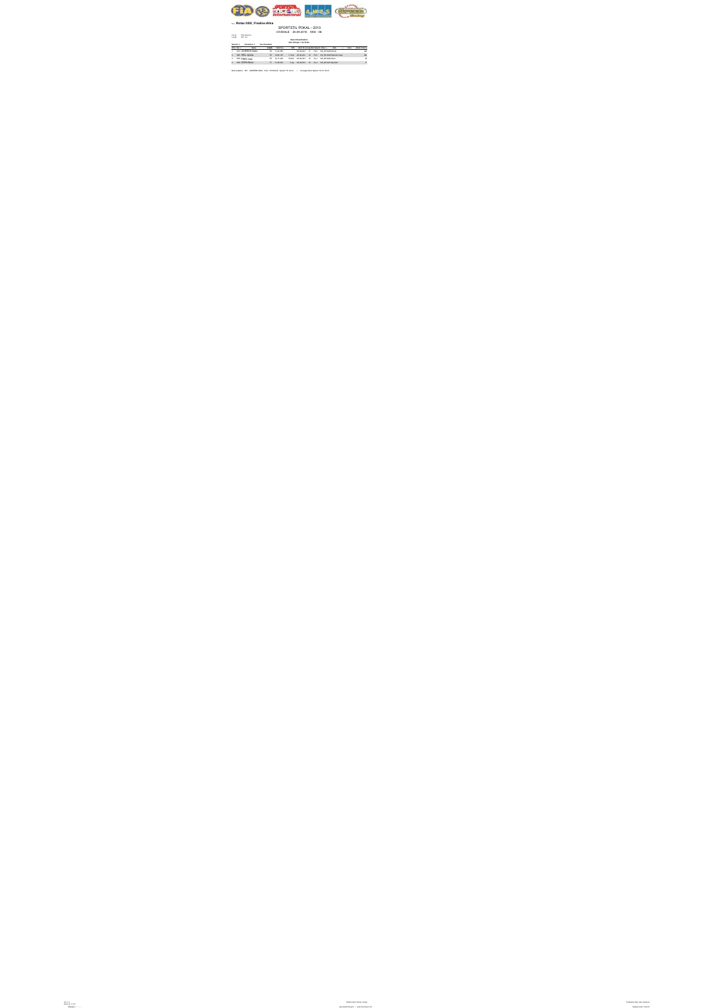

## Run: **Rotax DD2\_Finalna dirka**

## SPORTSTIL POKAL - 2010 CIVIDALE 25.09.2010. KKS - 06

Circuit: Pista Alberone Length: 820 met.

**Race Classification**

**after 18 laps = 14,76 km**

**Started: 4 Classified: 4 Not Classified:**

|                | <b>Paul No. 1</b> | <b>Margaret</b>       | <b>Exam TextTell</b>   | Gift Boy Trails Leading Second Class  |  | <b>Minimum Committee</b>                 | Toronto. |    |
|----------------|-------------------|-----------------------|------------------------|---------------------------------------|--|------------------------------------------|----------|----|
|                |                   | 1 801 GORSSEK Matic   | 18 1104,855            |                                       |  | COURSet 17 75.0 RS SPANDAHO              |          |    |
| $\overline{z}$ |                   | #25 GRIL Alg&a        | 18 12.06.197           |                                       |  | 113G 0039036 16 73.6 RESPAND Sander Cele |          | 10 |
| $\mathbf{a}$   |                   | <b>818 PREX Aires</b> | 18 1211-022            | 16.067 00.39.793 10 74.2 R8 SPAMK Rom |  |                                          |          |    |
| ٠              |                   | ann Ch/EN Bode        | <b>17. In the arts</b> |                                       |  | 1140 0039724 15 764 RESPANCEMENT         |          |    |

Best Laptime : 801 GORIŠEK Matic Time: 00:38,844 Speed: 76 Km/h / Average Race Speed: 74,33 Km/h